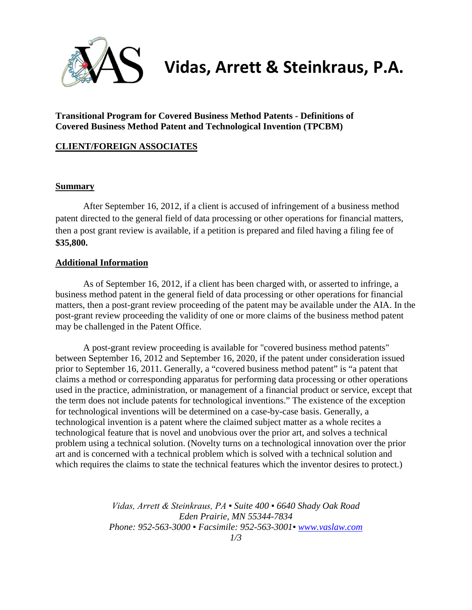

## **Vidas, Arrett & Steinkraus, P.A.**

**Transitional Program for Covered Business Method Patents - Definitions of Covered Business Method Patent and Technological Invention (TPCBM)**

## **CLIENT/FOREIGN ASSOCIATES**

## **Summary**

After September 16, 2012, if a client is accused of infringement of a business method patent directed to the general field of data processing or other operations for financial matters, then a post grant review is available, if a petition is prepared and filed having a filing fee of **\$35,800.**

## **Additional Information**

As of September 16, 2012, if a client has been charged with, or asserted to infringe, a business method patent in the general field of data processing or other operations for financial matters, then a post-grant review proceeding of the patent may be available under the AIA. In the post-grant review proceeding the validity of one or more claims of the business method patent may be challenged in the Patent Office.

A post-grant review proceeding is available for "covered business method patents" between September 16, 2012 and September 16, 2020, if the patent under consideration issued prior to September 16, 2011. Generally, a "covered business method patent" is "a patent that claims a method or corresponding apparatus for performing data processing or other operations used in the practice, administration, or management of a financial product or service, except that the term does not include patents for technological inventions." The existence of the exception for technological inventions will be determined on a case-by-case basis. Generally, a technological invention is a patent where the claimed subject matter as a whole recites a technological feature that is novel and unobvious over the prior art, and solves a technical problem using a technical solution. (Novelty turns on a technological innovation over the prior art and is concerned with a technical problem which is solved with a technical solution and which requires the claims to state the technical features which the inventor desires to protect.)

> *Vidas, Arrett & Steinkraus, PA ▪ Suite 400 ▪ 6640 Shady Oak Road Eden Prairie, MN 55344-7834 Phone: 952-563-3000 ▪ Facsimile: 952-563-3001▪ [www.vaslaw.com](http://www.vaslaw.com/)*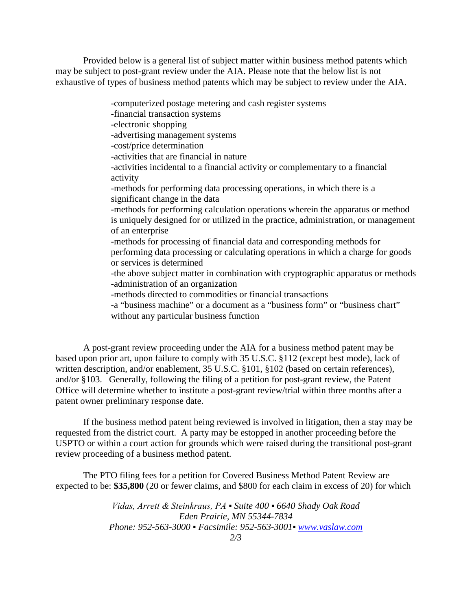Provided below is a general list of subject matter within business method patents which may be subject to post-grant review under the AIA. Please note that the below list is not exhaustive of types of business method patents which may be subject to review under the AIA.

> -computerized postage metering and cash register systems -financial transaction systems -electronic shopping -advertising management systems -cost/price determination -activities that are financial in nature -activities incidental to a financial activity or complementary to a financial activity -methods for performing data processing operations, in which there is a significant change in the data -methods for performing calculation operations wherein the apparatus or method is uniquely designed for or utilized in the practice, administration, or management of an enterprise -methods for processing of financial data and corresponding methods for performing data processing or calculating operations in which a charge for goods or services is determined -the above subject matter in combination with cryptographic apparatus or methods -administration of an organization -methods directed to commodities or financial transactions -a "business machine" or a document as a "business form" or "business chart" without any particular business function

A post-grant review proceeding under the AIA for a business method patent may be based upon prior art, upon failure to comply with 35 U.S.C. §112 (except best mode), lack of written description, and/or enablement, 35 U.S.C. §101, §102 (based on certain references), and/or §103. Generally, following the filing of a petition for post-grant review, the Patent Office will determine whether to institute a post-grant review/trial within three months after a patent owner preliminary response date.

If the business method patent being reviewed is involved in litigation, then a stay may be requested from the district court. A party may be estopped in another proceeding before the USPTO or within a court action for grounds which were raised during the transitional post-grant review proceeding of a business method patent.

The PTO filing fees for a petition for Covered Business Method Patent Review are expected to be: **\$35,800** (20 or fewer claims, and \$800 for each claim in excess of 20) for which

> *Vidas, Arrett & Steinkraus, PA ▪ Suite 400 ▪ 6640 Shady Oak Road Eden Prairie, MN 55344-7834 Phone: 952-563-3000 ▪ Facsimile: 952-563-3001▪ [www.vaslaw.com](http://www.vaslaw.com/)*